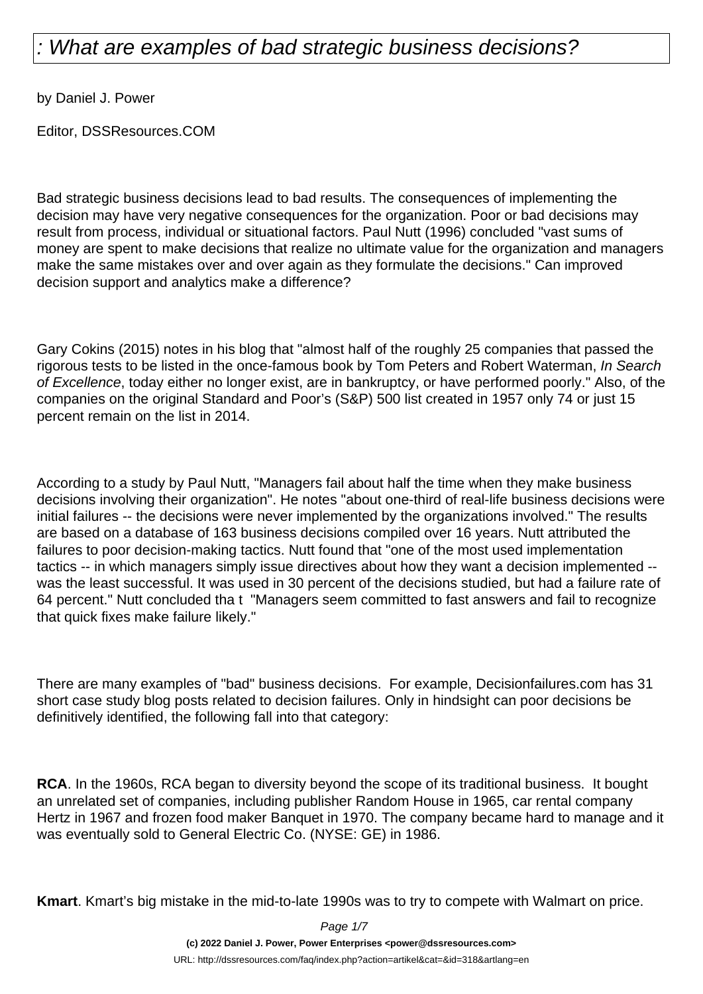by Daniel J. Power

Editor, DSSResources.COM

Bad strategic business decisions lead to bad results. The consequences of implementing the decision may have very negative consequences for the organization. Poor or bad decisions may result from process, individual or situational factors. Paul Nutt (1996) concluded "vast sums of money are spent to make decisions that realize no ultimate value for the organization and managers make the same mistakes over and over again as they formulate the decisions." Can improved decision support and analytics make a difference?

Gary Cokins (2015) notes in his blog that "almost half of the roughly 25 companies that passed the rigorous tests to be listed in the once-famous book by Tom Peters and Robert Waterman, In Search of Excellence, today either no longer exist, are in bankruptcy, or have performed poorly." Also, of the companies on the original Standard and Poor's (S&P) 500 list created in 1957 only 74 or just 15 percent remain on the list in 2014.

According to a study by Paul Nutt, "Managers fail about half the time when they make business decisions involving their organization". He notes "about one-third of real-life business decisions were initial failures -- the decisions were never implemented by the organizations involved." The results are based on a database of 163 business decisions compiled over 16 years. Nutt attributed the failures to poor decision-making tactics. Nutt found that "one of the most used implementation tactics -- in which managers simply issue directives about how they want a decision implemented - was the least successful. It was used in 30 percent of the decisions studied, but had a failure rate of 64 percent." Nutt concluded tha t "Managers seem committed to fast answers and fail to recognize that quick fixes make failure likely."

There are many examples of "bad" business decisions. For example, Decisionfailures.com has 31 short case study blog posts related to decision failures. Only in hindsight can poor decisions be definitively identified, the following fall into that category:

**RCA**. In the 1960s, RCA began to diversity beyond the scope of its traditional business. It bought an unrelated set of companies, including publisher Random House in 1965, car rental company Hertz in 1967 and frozen food maker Banquet in 1970. The company became hard to manage and it was eventually sold to General Electric Co. (NYSE: GE) in 1986.

**Kmart**. Kmart's big mistake in the mid-to-late 1990s was to try to compete with Walmart on price.

Page 1/7

**(c) 2022 Daniel J. Power, Power Enterprises <power@dssresources.com>**

URL: http://dssresources.com/faq/index.php?action=artikel&cat=&id=318&artlang=en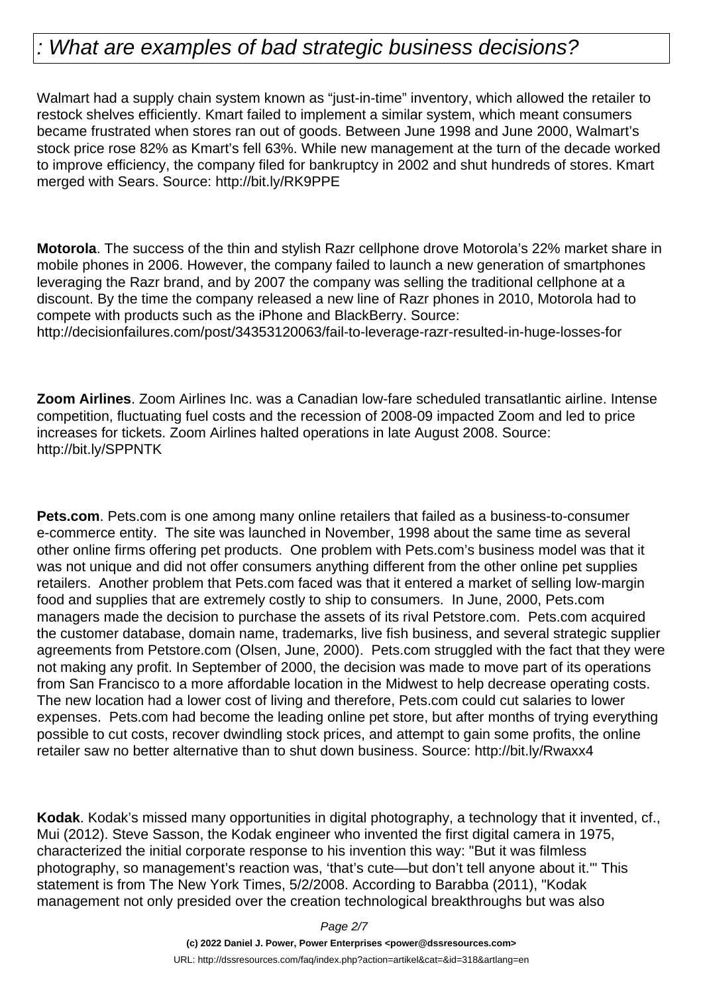Walmart had a supply chain system known as "just-in-time" inventory, which allowed the retailer to restock shelves efficiently. Kmart failed to implement a similar system, which meant consumers became frustrated when stores ran out of goods. Between June 1998 and June 2000, Walmart's stock price rose 82% as Kmart's fell 63%. While new management at the turn of the decade worked to improve efficiency, the company filed for bankruptcy in 2002 and shut hundreds of stores. Kmart merged with Sears. Source: http://bit.ly/RK9PPE

**Motorola**. The success of the thin and stylish Razr cellphone drove Motorola's 22% market share in mobile phones in 2006. However, the company failed to launch a new generation of smartphones leveraging the Razr brand, and by 2007 the company was selling the traditional cellphone at a discount. By the time the company released a new line of Razr phones in 2010, Motorola had to compete with products such as the iPhone and BlackBerry. Source:

http://decisionfailures.com/post/34353120063/fail-to-leverage-razr-resulted-in-huge-losses-for

**Zoom Airlines**. Zoom Airlines Inc. was a Canadian low-fare scheduled transatlantic airline. Intense competition, fluctuating fuel costs and the recession of 2008-09 impacted Zoom and led to price increases for tickets. Zoom Airlines halted operations in late August 2008. Source: http://bit.ly/SPPNTK

**Pets.com**. Pets.com is one among many online retailers that failed as a business-to-consumer e-commerce entity. The site was launched in November, 1998 about the same time as several other online firms offering pet products. One problem with Pets.com's business model was that it was not unique and did not offer consumers anything different from the other online pet supplies retailers. Another problem that Pets.com faced was that it entered a market of selling low-margin food and supplies that are extremely costly to ship to consumers. In June, 2000, Pets.com managers made the decision to purchase the assets of its rival Petstore.com. Pets.com acquired the customer database, domain name, trademarks, live fish business, and several strategic supplier agreements from Petstore.com (Olsen, June, 2000). Pets.com struggled with the fact that they were not making any profit. In September of 2000, the decision was made to move part of its operations from San Francisco to a more affordable location in the Midwest to help decrease operating costs. The new location had a lower cost of living and therefore, Pets.com could cut salaries to lower expenses. Pets.com had become the leading online pet store, but after months of trying everything possible to cut costs, recover dwindling stock prices, and attempt to gain some profits, the online retailer saw no better alternative than to shut down business. Source: http://bit.ly/Rwaxx4

**Kodak**. Kodak's missed many opportunities in digital photography, a technology that it invented, cf., Mui (2012). Steve Sasson, the Kodak engineer who invented the first digital camera in 1975, characterized the initial corporate response to his invention this way: "But it was filmless photography, so management's reaction was, 'that's cute—but don't tell anyone about it.'" This statement is from The New York Times, 5/2/2008. According to Barabba (2011), "Kodak management not only presided over the creation technological breakthroughs but was also

Page 2/7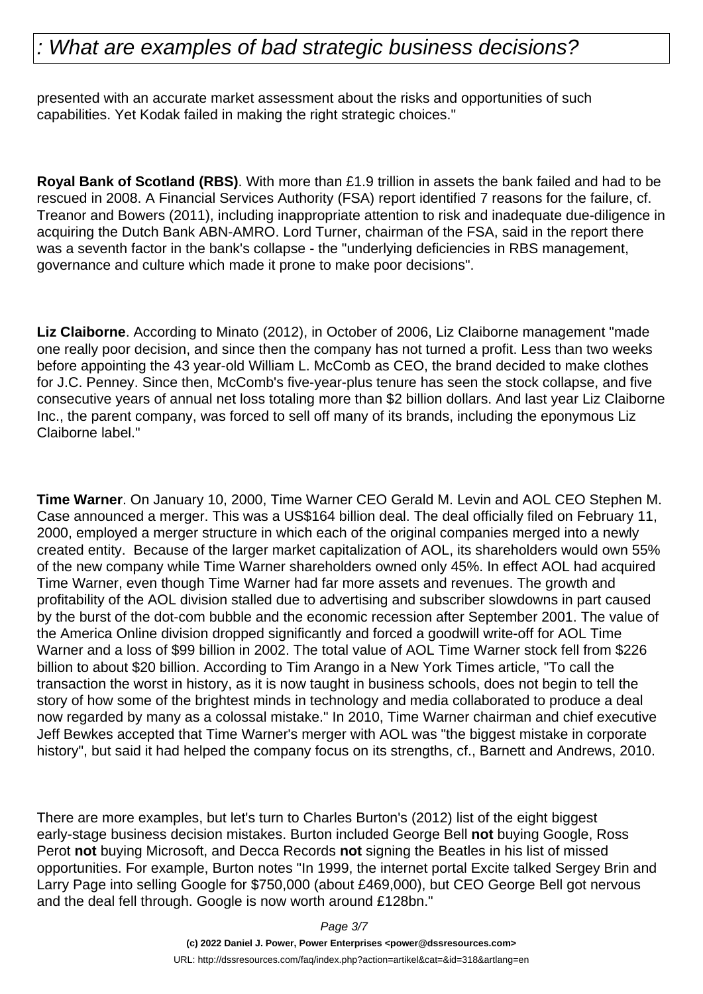presented with an accurate market assessment about the risks and opportunities of such capabilities. Yet Kodak failed in making the right strategic choices."

**Royal Bank of Scotland (RBS)**. With more than £1.9 trillion in assets the bank failed and had to be rescued in 2008. A Financial Services Authority (FSA) report identified 7 reasons for the failure, cf. Treanor and Bowers (2011), including inappropriate attention to risk and inadequate due-diligence in acquiring the Dutch Bank ABN-AMRO. Lord Turner, chairman of the FSA, said in the report there was a seventh factor in the bank's collapse - the "underlying deficiencies in RBS management, governance and culture which made it prone to make poor decisions".

**Liz Claiborne**. According to Minato (2012), in October of 2006, Liz Claiborne management "made one really poor decision, and since then the company has not turned a profit. Less than two weeks before appointing the 43 year-old William L. McComb as CEO, the brand decided to make clothes for J.C. Penney. Since then, McComb's five-year-plus tenure has seen the stock collapse, and five consecutive years of annual net loss totaling more than \$2 billion dollars. And last year Liz Claiborne Inc., the parent company, was forced to sell off many of its brands, including the eponymous Liz Claiborne label."

**Time Warner**. On January 10, 2000, Time Warner CEO Gerald M. Levin and AOL CEO Stephen M. Case announced a merger. This was a US\$164 billion deal. The deal officially filed on February 11, 2000, employed a merger structure in which each of the original companies merged into a newly created entity. Because of the larger market capitalization of AOL, its shareholders would own 55% of the new company while Time Warner shareholders owned only 45%. In effect AOL had acquired Time Warner, even though Time Warner had far more assets and revenues. The growth and profitability of the AOL division stalled due to advertising and subscriber slowdowns in part caused by the burst of the dot-com bubble and the economic recession after September 2001. The value of the America Online division dropped significantly and forced a goodwill write-off for AOL Time Warner and a loss of \$99 billion in 2002. The total value of AOL Time Warner stock fell from \$226 billion to about \$20 billion. According to Tim Arango in a New York Times article, "To call the transaction the worst in history, as it is now taught in business schools, does not begin to tell the story of how some of the brightest minds in technology and media collaborated to produce a deal now regarded by many as a colossal mistake." In 2010, Time Warner chairman and chief executive Jeff Bewkes accepted that Time Warner's merger with AOL was "the biggest mistake in corporate history", but said it had helped the company focus on its strengths, cf., Barnett and Andrews, 2010.

There are more examples, but let's turn to Charles Burton's (2012) list of the eight biggest early-stage business decision mistakes. Burton included George Bell **not** buying Google, Ross Perot **not** buying Microsoft, and Decca Records **not** signing the Beatles in his list of missed opportunities. For example, Burton notes "In 1999, the internet portal Excite talked Sergey Brin and Larry Page into selling Google for \$750,000 (about £469,000), but CEO George Bell got nervous and the deal fell through. Google is now worth around £128bn."

> Page 3/7 **(c) 2022 Daniel J. Power, Power Enterprises <power@dssresources.com>** URL: http://dssresources.com/faq/index.php?action=artikel&cat=&id=318&artlang=en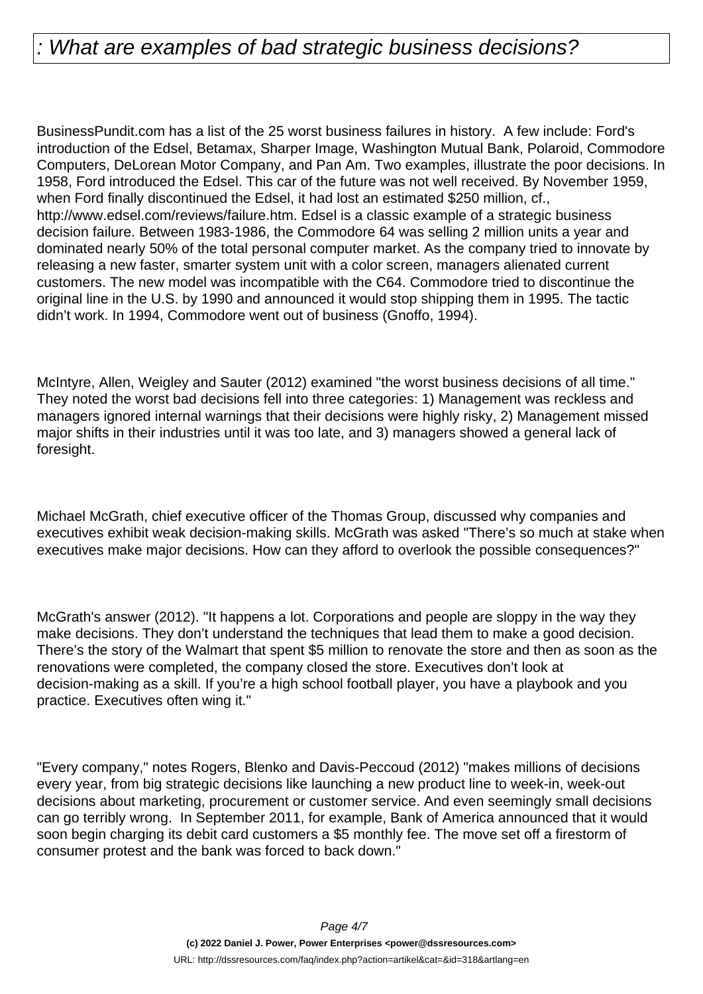BusinessPundit.com has a list of the 25 worst business failures in history. A few include: Ford's introduction of the Edsel, Betamax, Sharper Image, Washington Mutual Bank, Polaroid, Commodore Computers, DeLorean Motor Company, and Pan Am. Two examples, illustrate the poor decisions. In 1958, Ford introduced the Edsel. This car of the future was not well received. By November 1959, when Ford finally discontinued the Edsel, it had lost an estimated \$250 million, cf., http://www.edsel.com/reviews/failure.htm. Edsel is a classic example of a strategic business decision failure. Between 1983-1986, the Commodore 64 was selling 2 million units a year and dominated nearly 50% of the total personal computer market. As the company tried to innovate by releasing a new faster, smarter system unit with a color screen, managers alienated current customers. The new model was incompatible with the C64. Commodore tried to discontinue the original line in the U.S. by 1990 and announced it would stop shipping them in 1995. The tactic didn't work. In 1994, Commodore went out of business (Gnoffo, 1994).

McIntyre, Allen, Weigley and Sauter (2012) examined "the worst business decisions of all time." They noted the worst bad decisions fell into three categories: 1) Management was reckless and managers ignored internal warnings that their decisions were highly risky, 2) Management missed major shifts in their industries until it was too late, and 3) managers showed a general lack of foresight.

Michael McGrath, chief executive officer of the Thomas Group, discussed why companies and executives exhibit weak decision-making skills. McGrath was asked "There's so much at stake when executives make major decisions. How can they afford to overlook the possible consequences?"

McGrath's answer (2012). "It happens a lot. Corporations and people are sloppy in the way they make decisions. They don't understand the techniques that lead them to make a good decision. There's the story of the Walmart that spent \$5 million to renovate the store and then as soon as the renovations were completed, the company closed the store. Executives don't look at decision-making as a skill. If you're a high school football player, you have a playbook and you practice. Executives often wing it."

"Every company," notes Rogers, Blenko and Davis-Peccoud (2012) "makes millions of decisions every year, from big strategic decisions like launching a new product line to week-in, week-out decisions about marketing, procurement or customer service. And even seemingly small decisions can go terribly wrong. In September 2011, for example, Bank of America announced that it would soon begin charging its debit card customers a \$5 monthly fee. The move set off a firestorm of consumer protest and the bank was forced to back down."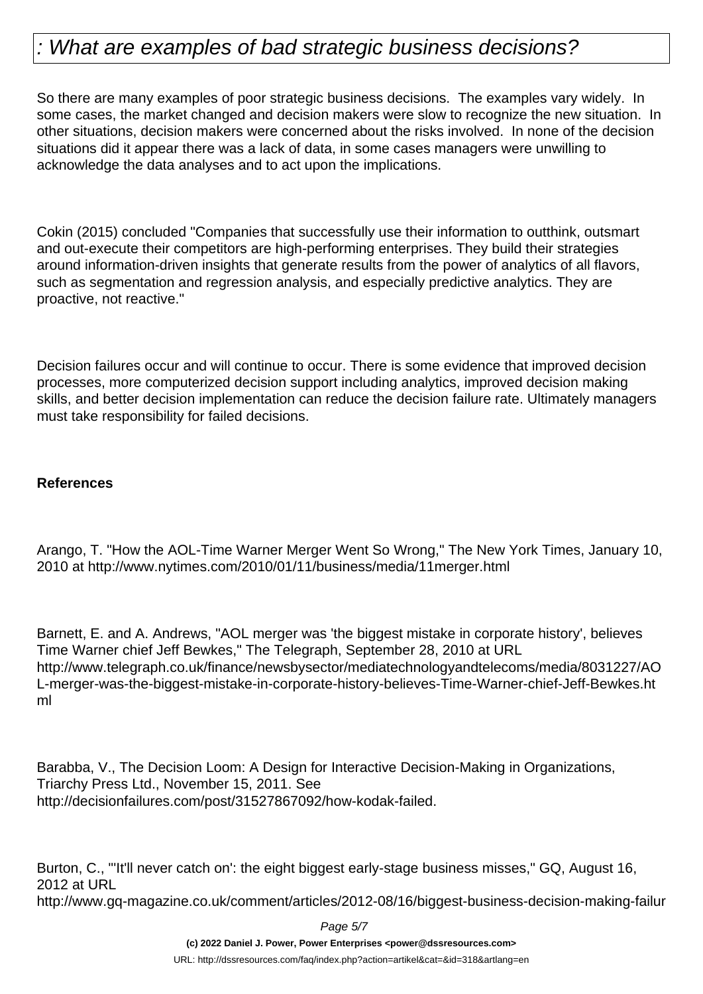So there are many examples of poor strategic business decisions. The examples vary widely. In some cases, the market changed and decision makers were slow to recognize the new situation. In other situations, decision makers were concerned about the risks involved. In none of the decision situations did it appear there was a lack of data, in some cases managers were unwilling to acknowledge the data analyses and to act upon the implications.

Cokin (2015) concluded "Companies that successfully use their information to outthink, outsmart and out-execute their competitors are high-performing enterprises. They build their strategies around information-driven insights that generate results from the power of analytics of all flavors, such as segmentation and regression analysis, and especially predictive analytics. They are proactive, not reactive."

Decision failures occur and will continue to occur. There is some evidence that improved decision processes, more computerized decision support including analytics, improved decision making skills, and better decision implementation can reduce the decision failure rate. Ultimately managers must take responsibility for failed decisions.

#### **References**

Arango, T. "How the AOL-Time Warner Merger Went So Wrong," The New York Times, January 10, 2010 at http://www.nytimes.com/2010/01/11/business/media/11merger.html

Barnett, E. and A. Andrews, "AOL merger was 'the biggest mistake in corporate history', believes Time Warner chief Jeff Bewkes," The Telegraph, September 28, 2010 at URL http://www.telegraph.co.uk/finance/newsbysector/mediatechnologyandtelecoms/media/8031227/AO L-merger-was-the-biggest-mistake-in-corporate-history-believes-Time-Warner-chief-Jeff-Bewkes.ht ml

Barabba, V., The Decision Loom: A Design for Interactive Decision-Making in Organizations, Triarchy Press Ltd., November 15, 2011. See http://decisionfailures.com/post/31527867092/how-kodak-failed.

Burton, C., "'It'll never catch on': the eight biggest early-stage business misses," GQ, August 16, 2012 at URL http://www.gq-magazine.co.uk/comment/articles/2012-08/16/biggest-business-decision-making-failur

Page 5/7

**(c) 2022 Daniel J. Power, Power Enterprises <power@dssresources.com>**

URL: http://dssresources.com/faq/index.php?action=artikel&cat=&id=318&artlang=en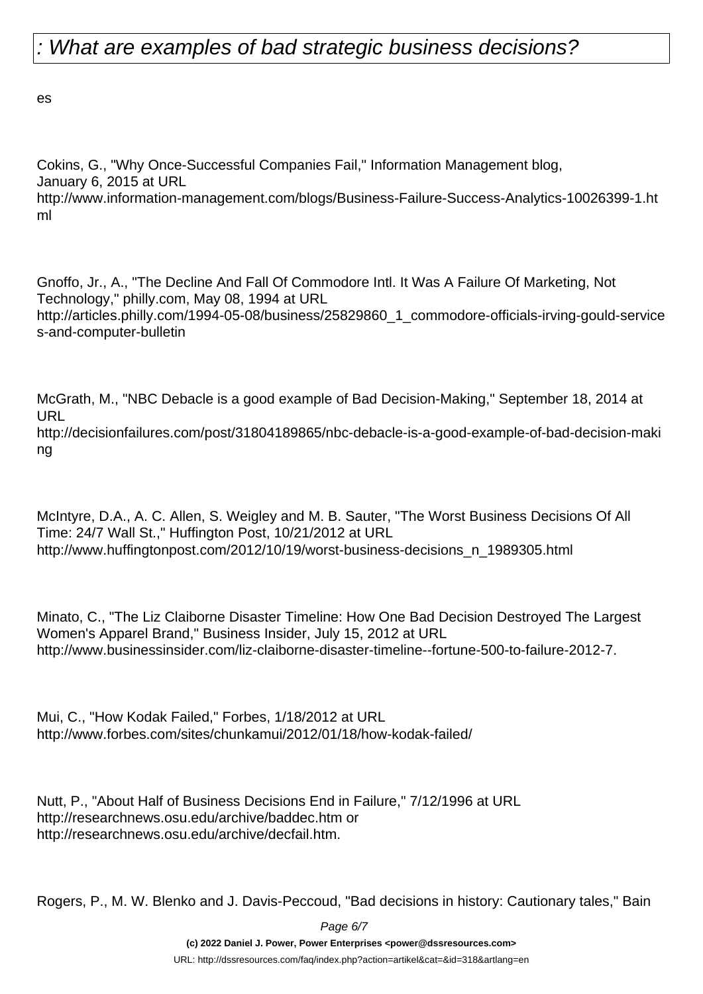es

Cokins, G., "Why Once-Successful Companies Fail," Information Management blog, January 6, 2015 at URL http://www.information-management.com/blogs/Business-Failure-Success-Analytics-10026399-1.ht ml

Gnoffo, Jr., A., "The Decline And Fall Of Commodore Intl. It Was A Failure Of Marketing, Not Technology," philly.com, May 08, 1994 at URL http://articles.philly.com/1994-05-08/business/25829860\_1\_commodore-officials-irving-gould-service s-and-computer-bulletin

McGrath, M., "NBC Debacle is a good example of Bad Decision-Making," September 18, 2014 at URL

http://decisionfailures.com/post/31804189865/nbc-debacle-is-a-good-example-of-bad-decision-maki ng

McIntyre, D.A., A. C. Allen, S. Weigley and M. B. Sauter, "The Worst Business Decisions Of All Time: 24/7 Wall St.," Huffington Post, 10/21/2012 at URL http://www.huffingtonpost.com/2012/10/19/worst-business-decisions\_n\_1989305.html

Minato, C., "The Liz Claiborne Disaster Timeline: How One Bad Decision Destroyed The Largest Women's Apparel Brand," Business Insider, July 15, 2012 at URL http://www.businessinsider.com/liz-claiborne-disaster-timeline--fortune-500-to-failure-2012-7.

Mui, C., "How Kodak Failed," Forbes, 1/18/2012 at URL http://www.forbes.com/sites/chunkamui/2012/01/18/how-kodak-failed/

Nutt, P., "About Half of Business Decisions End in Failure," 7/12/1996 at URL http://researchnews.osu.edu/archive/baddec.htm or http://researchnews.osu.edu/archive/decfail.htm.

Rogers, P., M. W. Blenko and J. Davis-Peccoud, "Bad decisions in history: Cautionary tales," Bain

Page 6/7

**(c) 2022 Daniel J. Power, Power Enterprises <power@dssresources.com>**

URL: http://dssresources.com/faq/index.php?action=artikel&cat=&id=318&artlang=en